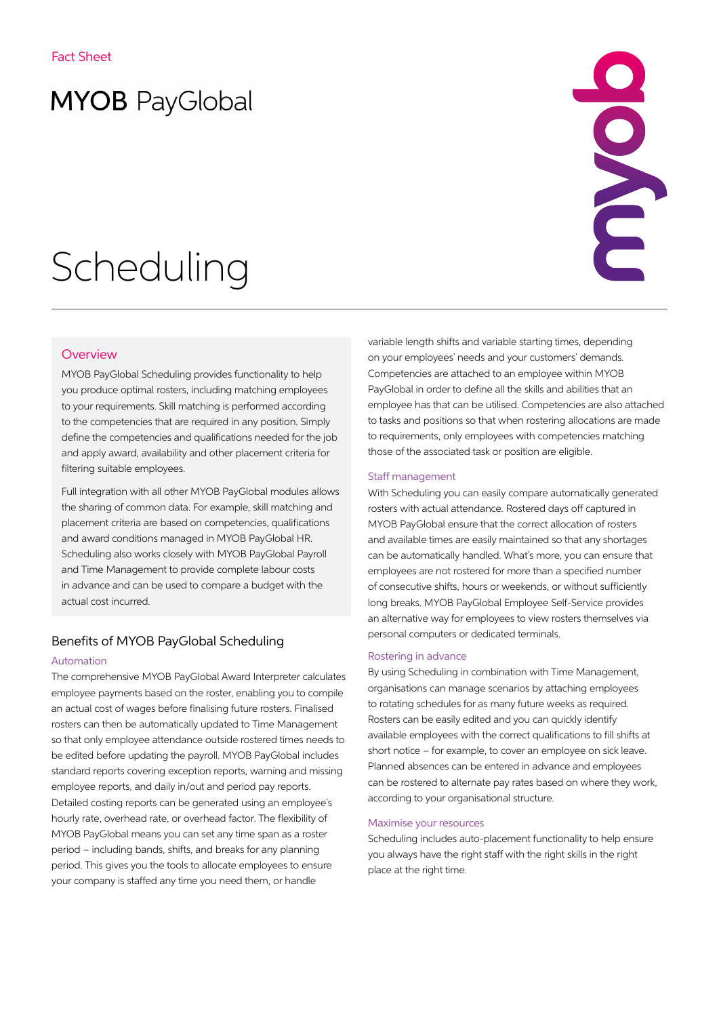# **MYOB** PayGlobal

# Scheduling



### **Overview**

MYOB PayGlobal Scheduling provides functionality to help you produce optimal rosters, including matching employees to your requirements. Skill matching is performed according to the competencies that are required in any position. Simply define the competencies and qualifications needed for the job and apply award, availability and other placement criteria for filtering suitable employees.

Full integration with all other MYOB PayGlobal modules allows the sharing of common data. For example, skill matching and placement criteria are based on competencies, qualifications and award conditions managed in MYOB PayGlobal HR. Scheduling also works closely with MYOB PayGlobal Payroll and Time Management to provide complete labour costs in advance and can be used to compare a budget with the actual cost incurred.

## Benefits of MYOB PayGlobal Scheduling

#### Automation

The comprehensive MYOB PayGlobal Award Interpreter calculates employee payments based on the roster, enabling you to compile an actual cost of wages before finalising future rosters. Finalised rosters can then be automatically updated to Time Management so that only employee attendance outside rostered times needs to be edited before updating the payroll. MYOB PayGlobal includes standard reports covering exception reports, warning and missing employee reports, and daily in/out and period pay reports. Detailed costing reports can be generated using an employee's hourly rate, overhead rate, or overhead factor. The flexibility of MYOB PayGlobal means you can set any time span as a roster period – including bands, shifts, and breaks for any planning period. This gives you the tools to allocate employees to ensure your company is staffed any time you need them, or handle

variable length shifts and variable starting times, depending on your employees' needs and your customers' demands. Competencies are attached to an employee within MYOB PayGlobal in order to define all the skills and abilities that an employee has that can be utilised. Competencies are also attached to tasks and positions so that when rostering allocations are made to requirements, only employees with competencies matching those of the associated task or position are eligible.

#### Staff management

With Scheduling you can easily compare automatically generated rosters with actual attendance. Rostered days off captured in MYOB PayGlobal ensure that the correct allocation of rosters and available times are easily maintained so that any shortages can be automatically handled. What's more, you can ensure that employees are not rostered for more than a specified number of consecutive shifts, hours or weekends, or without sufficiently long breaks. MYOB PayGlobal Employee Self-Service provides an alternative way for employees to view rosters themselves via personal computers or dedicated terminals.

#### Rostering in advance

By using Scheduling in combination with Time Management, organisations can manage scenarios by attaching employees to rotating schedules for as many future weeks as required. Rosters can be easily edited and you can quickly identify available employees with the correct qualifications to fill shifts at short notice – for example, to cover an employee on sick leave. Planned absences can be entered in advance and employees can be rostered to alternate pay rates based on where they work, according to your organisational structure.

#### Maximise your resources

Scheduling includes auto-placement functionality to help ensure you always have the right staff with the right skills in the right place at the right time.